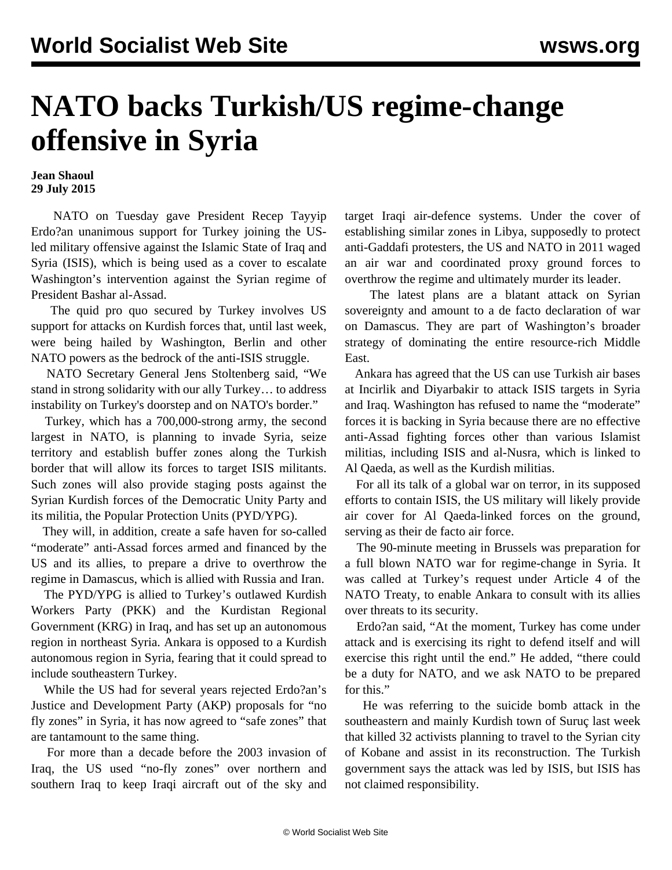## **NATO backs Turkish/US regime-change offensive in Syria**

**Jean Shaoul 29 July 2015**

 NATO on Tuesday gave President Recep Tayyip Erdo?an unanimous support for Turkey joining the USled military offensive against the Islamic State of Iraq and Syria (ISIS), which is being used as a cover to escalate Washington's intervention against the Syrian regime of President Bashar al-Assad.

 The quid pro quo secured by Turkey involves US support for attacks on Kurdish forces that, until last week, were being hailed by Washington, Berlin and other NATO powers as the bedrock of the anti-ISIS struggle.

 NATO Secretary General Jens Stoltenberg said, "We stand in strong solidarity with our ally Turkey… to address instability on Turkey's doorstep and on NATO's border."

 Turkey, which has a 700,000-strong army, the second largest in NATO, is planning to invade Syria, seize territory and establish buffer zones along the Turkish border that will allow its forces to target ISIS militants. Such zones will also provide staging posts against the Syrian Kurdish forces of the Democratic Unity Party and its militia, the Popular Protection Units (PYD/YPG).

 They will, in addition, create a safe haven for so-called "moderate" anti-Assad forces armed and financed by the US and its allies, to prepare a drive to overthrow the regime in Damascus, which is allied with Russia and Iran.

 The PYD/YPG is allied to Turkey's outlawed Kurdish Workers Party (PKK) and the Kurdistan Regional Government (KRG) in Iraq, and has set up an autonomous region in northeast Syria. Ankara is opposed to a Kurdish autonomous region in Syria, fearing that it could spread to include southeastern Turkey.

 While the US had for several years rejected Erdo?an's Justice and Development Party (AKP) proposals for "no fly zones" in Syria, it has now agreed to "safe zones" that are tantamount to the same thing.

 For more than a decade before the 2003 invasion of Iraq, the US used "no-fly zones" over northern and southern Iraq to keep Iraqi aircraft out of the sky and target Iraqi air-defence systems. Under the cover of establishing similar zones in Libya, supposedly to protect anti-Gaddafi protesters, the US and NATO in 2011 waged an air war and coordinated proxy ground forces to overthrow the regime and ultimately murder its leader.

 The latest plans are a blatant attack on Syrian sovereignty and amount to a de facto declaration of war on Damascus. They are part of Washington's broader strategy of dominating the entire resource-rich Middle East.

 Ankara has agreed that the US can use Turkish air bases at Incirlik and Diyarbakir to attack ISIS targets in Syria and Iraq. Washington has refused to name the "moderate" forces it is backing in Syria because there are no effective anti-Assad fighting forces other than various Islamist militias, including ISIS and al-Nusra, which is linked to Al Qaeda, as well as the Kurdish militias.

 For all its talk of a global war on terror, in its supposed efforts to contain ISIS, the US military will likely provide air cover for Al Qaeda-linked forces on the ground, serving as their de facto air force.

 The 90-minute meeting in Brussels was preparation for a full blown NATO war for regime-change in Syria. It was called at Turkey's request under Article 4 of the NATO Treaty, to enable Ankara to consult with its allies over threats to its security.

 Erdo?an said, "At the moment, Turkey has come under attack and is exercising its right to defend itself and will exercise this right until the end." He added, "there could be a duty for NATO, and we ask NATO to be prepared for this."

 He was referring to the suicide bomb attack in the southeastern and mainly Kurdish town of Suruç last week that killed 32 activists planning to travel to the Syrian city of Kobane and assist in its reconstruction. The Turkish government says the attack was led by ISIS, but ISIS has not claimed responsibility.